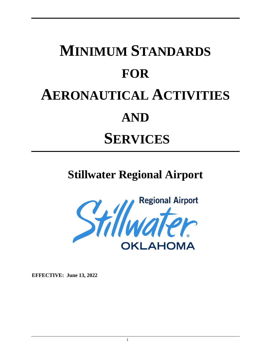# **MINIMUM STANDARDS FOR AERONAUTICAL ACTIVITIES AND SERVICES**

# **Stillwater Regional Airport**



**EFFECTIVE: June 13, 2022**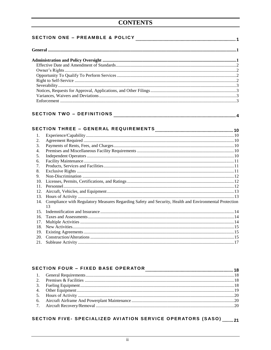| 1.  |                                                                                                        |  |  |  |  |
|-----|--------------------------------------------------------------------------------------------------------|--|--|--|--|
| 2.  |                                                                                                        |  |  |  |  |
| 3.  |                                                                                                        |  |  |  |  |
| 4.  |                                                                                                        |  |  |  |  |
| 5.  |                                                                                                        |  |  |  |  |
| 6.  |                                                                                                        |  |  |  |  |
| 7.  |                                                                                                        |  |  |  |  |
| 8.  |                                                                                                        |  |  |  |  |
| 9.  |                                                                                                        |  |  |  |  |
| 10. |                                                                                                        |  |  |  |  |
| 11. |                                                                                                        |  |  |  |  |
|     |                                                                                                        |  |  |  |  |
|     |                                                                                                        |  |  |  |  |
| 14. | Compliance with Regulatory Measures Regarding Safety and Security, Health and Environmental Protection |  |  |  |  |
|     | 13                                                                                                     |  |  |  |  |
|     |                                                                                                        |  |  |  |  |
| 16. |                                                                                                        |  |  |  |  |
| 17. |                                                                                                        |  |  |  |  |
| 18. |                                                                                                        |  |  |  |  |
| 19. |                                                                                                        |  |  |  |  |
| 20. |                                                                                                        |  |  |  |  |
| 21. |                                                                                                        |  |  |  |  |

# 

## SECTION FIVE- SPECIALIZED AVIATION SERVICE OPERATORS (SASO) .........21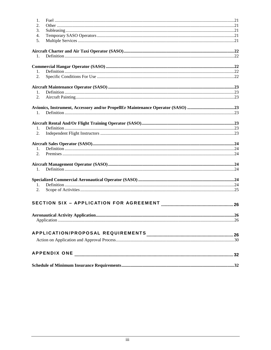| 1.             |  |
|----------------|--|
| 2.             |  |
| 3.             |  |
| 4.             |  |
| 5.             |  |
|                |  |
|                |  |
| 1.             |  |
|                |  |
| 1.             |  |
| 2.             |  |
|                |  |
| $1_{\cdot}$    |  |
| 2.             |  |
|                |  |
|                |  |
| 1.             |  |
|                |  |
| 1.             |  |
| 2.             |  |
|                |  |
|                |  |
| 1.             |  |
| 2.             |  |
|                |  |
| $\mathbf{1}$ . |  |
|                |  |
|                |  |
| 1.             |  |
| 2.             |  |
|                |  |
|                |  |
|                |  |
|                |  |
|                |  |
|                |  |
|                |  |
|                |  |
|                |  |
|                |  |
|                |  |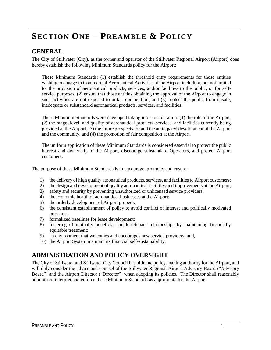# <span id="page-3-0"></span>**SECTION ONE – PREAMBLE & POLICY**

#### <span id="page-3-1"></span>**GENERAL**

The City of Stillwater (City), as the owner and operator of the Stillwater Regional Airport (Airport) does hereby establish the following Minimum Standards policy for the Airport:

These Minimum Standards: (1) establish the threshold entry requirements for those entities wishing to engage in Commercial Aeronautical Activities at the Airport including, but not limited to, the provision of aeronautical products, services, and/or facilities to the public, or for selfservice purposes; (2) ensure that those entities obtaining the approval of the Airport to engage in such activities are not exposed to unfair competition; and (3) protect the public from unsafe, inadequate or substandard aeronautical products, services, and facilities.

These Minimum Standards were developed taking into consideration: (1) the role of the Airport, (2) the range, level, and quality of aeronautical products, services, and facilities currently being provided at the Airport, (3) the future prospects for and the anticipated development of the Airport and the community, and (4) the promotion of fair competition at the Airport.

The uniform application of these Minimum Standards is considered essential to protect the public interest and ownership of the Airport, discourage substandard Operators, and protect Airport customers.

The purpose of these Minimum Standards is to encourage, promote, and ensure:

- 1) the delivery of high quality aeronautical products, services, and facilities to Airport customers;
- 2) the design and development of quality aeronautical facilities and improvements at the Airport;
- 3) safety and security by preventing unauthorized or unlicensed service providers;
- 4) the economic health of aeronautical businesses at the Airport;
- 5) the orderly development of Airport property;
- 6) the consistent establishment of policy to avoid conflict of interest and politically motivated pressures;
- 7) formalized baselines for lease development;
- 8) fostering of mutually beneficial landlord/tenant relationships by maintaining financially equitable treatment;
- 9) an environment that welcomes and encourages new service providers; and,
- 10) the Airport System maintain its financial self-sustainability.

#### <span id="page-3-2"></span>**ADMINISTRATION AND POLICY OVERSIGHT**

The City of Stillwater and Stillwater City Council has ultimate policy-making authority for the Airport, and will duly consider the advice and counsel of the Stillwater Regional Airport Advisory Board ("Advisory Board") and the Airport Director ("Director") when adopting its policies. The Director shall reasonably administer, interpret and enforce these Minimum Standards as appropriate for the Airport.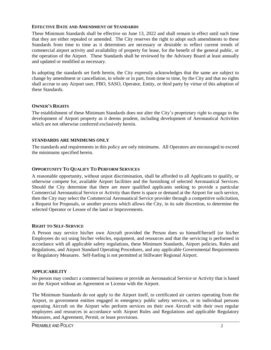#### <span id="page-4-0"></span>**EFFECTIVE DATE AND AMENDMENT OF STANDARDS**

These Minimum Standards shall be effective on June 13, 2022 and shall remain in effect until such time that they are either repealed or amended. The City reserves the right to adopt such amendments to these Standards from time to time as it determines are necessary or desirable to reflect current trends of commercial airport activity and availability of property for lease, for the benefit of the general public, or the operation of the Airport. These Standards shall be reviewed by the Advisory Board at least annually and updated or modified as necessary.

In adopting the standards set forth herein, the City expressly acknowledges that the same are subject to change by amendment or cancellation, in whole or in part, from time to time, by the City and that no rights shall accrue to any Airport user, FBO, SASO, Operator, Entity, or third party by virtue of this adoption of these Standards.

#### <span id="page-4-1"></span>**OWNER'S RIGHTS**

The establishment of these Minimum Standards does not alter the City's proprietary right to engage in the development of Airport property as it deems prudent, including development of Aeronautical Activities which are not otherwise conferred exclusively herein.

#### **STANDARDS ARE MINIMUMS ONLY**

The standards and requirements in this policy are only minimums. All Operators are encouraged to exceed the minimums specified herein.

#### <span id="page-4-2"></span>**OPPORTUNITY TO QUALIFY TO PERFORM SERVICES**

A reasonable opportunity, without unjust discrimination, shall be afforded to all Applicants to qualify, or otherwise compete for, available Airport facilities and the furnishing of selected Aeronautical Services. Should the City determine that there are more qualified applicants seeking to provide a particular Commercial Aeronautical Service or Activity than there is space or demand at the Airport for such service, then the City may select the Commercial Aeronautical Service provider through a competitive solicitation, a Request for Proposals, or another process which allows the City, in its sole discretion, to determine the selected Operator or Lessee of the land or Improvements.

#### <span id="page-4-3"></span>**RIGHT TO SELF-SERVICE**

A Person may service his/her own Aircraft provided the Person does so himself/herself (or his/her Employees do so) using his/her vehicles, equipment, and resources and that the servicing is performed in accordance with all applicable safety regulations, these Minimum Standards, Airport policies, Rules and Regulations, and Airport Standard Operating Procedures, and any applicable Governmental Requirements or Regulatory Measures. Self-fueling is not permitted at Stillwater Regional Airport.

#### **APPLICABILITY**

No person may conduct a commercial business or provide an Aeronautical Service or Activity that is based on the Airport without an Agreement or License with the Airport.

The Minimum Standards do not apply to the Airport itself, to certificated air carriers operating from the Airport, to government entities engaged in emergency public safety services, or to individual persons operating Aircraft on the Airport who perform services on their own Aircraft with their own regular employees and resources in accordance with Airport Rules and Regulations and applicable Regulatory Measures, and Agreement, Permit, or lease provisions.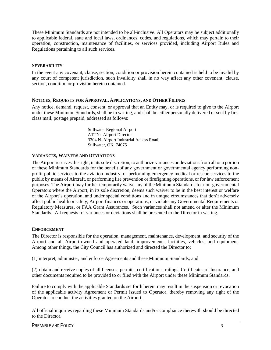These Minimum Standards are not intended to be all-inclusive. All Operators may be subject additionally to applicable federal, state and local laws, ordinances, codes, and regulations, which may pertain to their operation, construction, maintenance of facilities, or services provided, including Airport Rules and Regulations pertaining to all such services.

#### <span id="page-5-0"></span>**SEVERABILITY**

In the event any covenant, clause, section, condition or provision herein contained is held to be invalid by any court of competent jurisdiction, such invalidity shall in no way affect any other covenant, clause, section, condition or provision herein contained.

#### <span id="page-5-1"></span>**NOTICES, REQUESTS FOR APPROVAL, APPLICATIONS, AND OTHER FILINGS**

Any notice, demand, request, consent, or approval that an Entity may, or is required to give to the Airport under these Minimum Standards, shall be in writing, and shall be either personally delivered or sent by first class mail, postage prepaid, addressed as follows:

> Stillwater Regional Airport ATTN: Airport Director 3304 N. Airport Industrial Access Road Stillwater, OK 74075

#### <span id="page-5-2"></span>**VARIANCES, WAIVERS AND DEVIATIONS**

The Airport reserves the right, in its sole discretion, to authorize variances or deviations from all or a portion of these Minimum Standards for the benefit of any government or governmental agency performing nonprofit public services to the aviation industry, or performing emergency medical or rescue services to the public by means of Aircraft, or performing fire prevention or firefighting operations, or for law enforcement purposes. The Airport may further temporarily waive any of the Minimum Standards for non-governmental Operators where the Airport, in its sole discretion, deems such waiver to be in the best interest or welfare of the Airport's operation, and under special conditions and in unique circumstances that don't adversely affect public health or safety, Airport finances or operations, or violate any Governmental Requirements or Regulatory Measures, or FAA Grant Assurances. Such variances shall not amend or alter the Minimum Standards. All requests for variances or deviations shall be presented to the Director in writing.

#### <span id="page-5-3"></span>**ENFORCEMENT**

The Director is responsible for the operation, management, maintenance, development, and security of the Airport and all Airport-owned and operated land, improvements, facilities, vehicles, and equipment. Among other things, the City Council has authorized and directed the Director to:

(1) interpret, administer, and enforce Agreements and these Minimum Standards; and

(2) obtain and receive copies of all licenses, permits, certifications, ratings, Certificates of Insurance, and other documents required to be provided to or filed with the Airport under these Minimum Standards.

Failure to comply with the applicable Standards set forth herein may result in the suspension or revocation of the applicable activity Agreement or Permit issued to Operator, thereby removing any right of the Operator to conduct the activities granted on the Airport.

All official inquiries regarding these Minimum Standards and/or compliance therewith should be directed to the Director.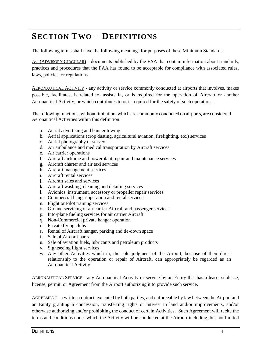# <span id="page-6-0"></span>**SECTION TWO – DEFINITIONS**

The following terms shall have the following meanings for purposes of these Minimum Standards:

AC (ADVISORY CIRCULAR) – documents published by the FAA that contain information about standards, practices and procedures that the FAA has found to be acceptable for compliance with associated rules, laws, policies, or regulations.

AERONAUTICAL ACTIVITY - any activity or service commonly conducted at airports that involves, makes possible, facilitates, is related to, assists in, or is required for the operation of Aircraft or another Aeronautical Activity, or which contributes to or is required for the safety of such operations.

The following functions, without limitation, which are commonly conducted on airports, are considered Aeronautical Activities within this definition:

- a. Aerial advertising and banner towing
- b. Aerial applications (crop dusting, agricultural aviation, firefighting, etc.) services
- c. Aerial photography or survey
- d. Air ambulance and medical transportation by Aircraft services
- e. Air carrier operations
- f. Aircraft airframe and powerplant repair and maintenance services
- g. Aircraft charter and air taxi services
- h. Aircraft management services
- i. Aircraft rental services
- j. Aircraft sales and services
- k. Aircraft washing, cleaning and detailing services
- l. Avionics, instrument, accessory or propeller repair services
- m. Commercial hangar operation and rental services
- n. Flight or Pilot training services
- o. Ground servicing of air carrier Aircraft and passenger services
- p. Into-plane fueling services for air carrier Aircraft
- q. Non-Commercial private hangar operation
- r. Private flying clubs
- s. Rental of Aircraft hangar, parking and tie-down space
- t. Sale of Aircraft parts
- u. Sale of aviation fuels, lubricants and petroleum products
- v. Sightseeing flight services
- w. Any other Activities which in, the sole judgment of the Airport, because of their direct relationship to the operation or repair of Aircraft, can appropriately be regarded as an Aeronautical Activity

AERONAUTICAL SERVICE - any Aeronautical Activity or service by an Entity that has a lease, sublease, license, permit, or Agreement from the Airport authorizing it to provide such service.

AGREEMENT - a written contract, executed by both parties, and enforceable by law between the Airport and an Entity granting a concession, transferring rights or interest in land and/or improvements, and/or otherwise authorizing and/or prohibiting the conduct of certain Activities. Such Agreement will recite the terms and conditions under which the Activity will be conducted at the Airport including, but not limited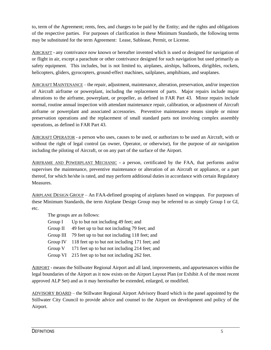to, term of the Agreement; rents, fees, and charges to be paid by the Entity; and the rights and obligations of the respective parties. For purposes of clarification in these Minimum Standards, the following terms may be substituted for the term Agreement: Lease, Sublease, Permit, or License.

AIRCRAFT - any contrivance now known or hereafter invented which is used or designed for navigation of or flight in air, except a parachute or other contrivance designed for such navigation but used primarily as safety equipment. This includes, but is not limited to, airplanes, airships, balloons, dirigibles, rockets, helicopters, gliders, gyrocopters, ground-effect machines, sailplanes, amphibians, and seaplanes.

AIRCRAFT MAINTENANCE – the repair, adjustment, maintenance, alteration, preservation, and/or inspection of Aircraft airframe or powerplant, including the replacement of parts. Major repairs include major alterations to the airframe, powerplant, or propeller, as defined in FAR Part 43. Minor repairs include normal, routine annual inspection with attendant maintenance repair, calibration, or adjustment of Aircraft airframe or powerplant and associated accessories. Preventive maintenance means simple or minor preservation operations and the replacement of small standard parts not involving complex assembly operations, as defined in FAR Part 43.

AIRCRAFT OPERATOR - a person who uses, causes to be used, or authorizes to be used an Aircraft, with or without the right of legal control (as owner, Operator, or otherwise), for the purpose of air navigation including the piloting of Aircraft, or on any part of the surface of the Airport.

AIRFRAME AND POWERPLANT MECHANIC - a person, certificated by the FAA, that performs and/or supervises the maintenance, preventive maintenance or alteration of an Aircraft or appliance, or a part thereof, for which he/she is rated, and may perform additional duties in accordance with certain Regulatory Measures.

AIRPLANE DESIGN GROUP – An FAA-defined grouping of airplanes based on wingspan. For purposes of these Minimum Standards, the term Airplane Design Group may be referred to as simply Group I or GI, etc.

The groups are as follows:

| Group $I$ | Up to but not including 49 feet; and           |  |  |
|-----------|------------------------------------------------|--|--|
| Group II  | 49 feet up to but not including 79 feet; and   |  |  |
| Group III | 79 feet up to but not including 118 feet; and  |  |  |
| Group IV  | 118 feet up to but not including 171 feet; and |  |  |
| Group V   | 171 feet up to but not including 214 feet; and |  |  |
| Group VI  | 215 feet up to but not including 262 feet.     |  |  |
|           |                                                |  |  |

AIRPORT - means the Stillwater Regional Airport and all land, improvements, and appurtenances within the legal boundaries of the Airport as it now exists on the Airport Layout Plan (or Exhibit A of the most recent approved ALP Set) and as it may hereinafter be extended, enlarged, or modified.

ADVISORY BOARD – the Stillwater Regional Airport Advisory Board which is the panel appointed by the Stillwater City Council to provide advice and counsel to the Airport on development and policy of the Airport.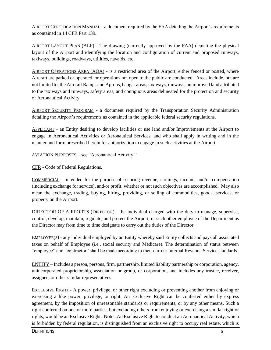AIRPORT CERTIFICATION MANUAL - a document required by the FAA detailing the Airport's requirements as contained in 14 CFR Part 139.

AIRPORT LAYOUT PLAN (ALP) - The drawing (currently approved by the FAA) depicting the physical layout of the Airport and identifying the location and configuration of current and proposed runways, taxiways, buildings, roadways, utilities, navaids, etc.

AIRPORT OPERATIONS AREA (AOA) - is a restricted area of the Airport, either fenced or posted, where Aircraft are parked or operated, or operations not open to the public are conducted. Areas include, but are not limited to, the Aircraft Ramps and Aprons, hangar areas, taxiways, runways, unimproved land attributed to the taxiways and runways, safety areas, and contiguous areas delineated for the protection and security of Aeronautical Activity.

AIRPORT SECURITY PROGRAM - a document required by the Transportation Security Administration detailing the Airport's requirements as contained in the applicable federal security regulations.

APPLICANT – an Entity desiring to develop facilities or use land and/or Improvements at the Airport to engage in Aeronautical Activities or Aeronautical Services, and who shall apply in writing and in the manner and form prescribed herein for authorization to engage in such activities at the Airport.

AVIATION PURPOSES – see "Aeronautical Activity."

CFR - Code of Federal Regulations.

COMMERCIAL – intended for the purpose of securing revenue, earnings, income, and/or compensation (including exchange for service), and/or profit, whether or not such objectives are accomplished. May also mean the exchange, trading, buying, hiring, providing, or selling of commodities, goods, services, or property on the Airport.

DIRECTOR OF AIRPORTS (DIRECTOR) - the individual charged with the duty to manage, supervise, control, develop, maintain, regulate, and protect the Airport, or such other employee of the Department as the Director may from time to time designate to carry out the duties of the Director.

EMPLOYEE(S) - any individual employed by an Entity whereby said Entity collects and pays all associated taxes on behalf of Employee (i.e., social security and Medicare). The determination of status between "employee" and "contractor" shall be made according to then-current Internal Revenue Service standards.

ENTITY – Includes a person, persons, firm, partnership, limited liability partnership or corporation, agency, unincorporated proprietorship, association or group, or corporation, and includes any trustee, receiver, assignee, or other similar representatives.

EXCLUSIVE RIGHT - A power, privilege, or other right excluding or preventing another from enjoying or exercising a like power, privilege, or right. An Exclusive Right can be conferred either by express agreement, by the imposition of unreasonable standards or requirements, or by any other means. Such a right conferred on one or more parties, but excluding others from enjoying or exercising a similar right or rights, would be an Exclusive Right. Note: An Exclusive Right to conduct an Aeronautical Activity, which is forbidden by federal regulation, is distinguished from an exclusive right to occupy real estate, which is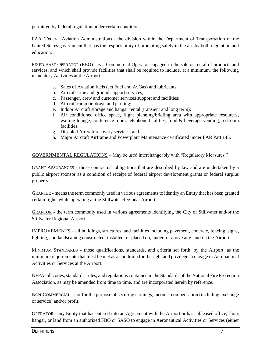permitted by federal regulation under certain conditions.

FAA (Federal Aviation Administration) - the division within the Department of Transportation of the United States government that has the responsibility of promoting safety in the air, by both regulation and education.

FIXED BASE OPERATOR (FBO) - is a Commercial Operator engaged in the sale or rental of products and services, and which shall provide facilities that shall be required to include, at a minimum, the following mandatory Activities at the Airport:

- a. Sales of Aviation fuels (Jet Fuel and AvGas) and lubricants;
- b. Aircraft Line and ground support services;
- c. Passenger, crew and customer services support and facilities;
- d. Aircraft ramp tie-down and parking;
- e. Indoor Aircraft storage and hangar rental (transient and long term);
- f. Air conditioned office space, flight planning/briefing area with appropriate resources, waiting lounge, conference room, telephone facilities, food & beverage vending, restroom facilities;
- g. Disabled Aircraft recovery services; and
- h. Major Aircraft Airframe and Powerplant Maintenance certificated under FAR Part 145.

GOVERNMENTAL REGULATIONS – May be used interchangeably with "Regulatory Measures."

GRANT ASSURANCES - those contractual obligations that are described by law and are undertaken by a public airport sponsor as a condition of receipt of federal airport development grants or federal surplus property.

GRANTEE - means the term commonly used in various agreements to identify an Entity that has been granted certain rights while operating at the Stillwater Regional Airport.

GRANTOR - the term commonly used in various agreements identifying the City of Stillwater and/or the Stillwater Regional Airport.

IMPROVEMENTS – all buildings, structures, and facilities including pavement, concrete, fencing, signs, lighting, and landscaping constructed, installed, or placed on, under, or above any land on the Airport.

MINIMUM STANDARDS - those qualifications, standards, and criteria set forth, by the Airport, as the minimum requirements that must be met as a condition for the right and privilege to engage in Aeronautical Activities or Services at the Airport.

NFPA- all codes, standards, rules, and regulations contained in the Standards of the National Fire Protection Association, as may be amended from time to time, and are incorporated herein by reference.

NON-COMMERCIAL - not for the purpose of securing earnings, income, compensation (including exchange of service) and/or profit.

OPERATOR - any Entity that has entered into an Agreement with the Airport or has subleased office, shop, hangar, or land from an authorized FBO or SASO to engage in Aeronautical Activities or Services (either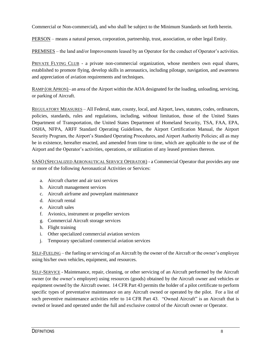Commercial or Non-commercial), and who shall be subject to the Minimum Standards set forth herein.

PERSON – means a natural person, corporation, partnership, trust, association, or other legal Entity.

PREMISES – the land and/or Improvements leased by an Operator for the conduct of Operator's activities.

PRIVATE FLYING CLUB - a private non-commercial organization, whose members own equal shares, established to promote flying, develop skills in aeronautics, including pilotage, navigation, and awareness and appreciation of aviation requirements and techniques.

RAMP (OR APRON) - an area of the Airport within the AOA designated for the loading, unloading, servicing, or parking of Aircraft.

REGULATORY MEASURES – All Federal, state, county, local, and Airport, laws, statutes, codes, ordinances, policies, standards, rules and regulations, including, without limitation, those of the United States Department of Transportation, the United States Department of Homeland Security, TSA, FAA, EPA, OSHA, NFPA, ARFF Standard Operating Guidelines, the Airport Certification Manual, the Airport Security Program, the Airport's Standard Operating Procedures, and Airport Authority Policies; all as may be in existence, hereafter enacted, and amended from time to time, which are applicable to the use of the Airport and the Operator's activities, operations, or utilization of any leased premises thereon.

SASO (SPECIALIZED AERONAUTICAL SERVICE OPERATOR) - a Commercial Operator that provides any one or more of the following Aeronautical Activities or Services:

- a. Aircraft charter and air taxi services
- b. Aircraft management services
- c. Aircraft airframe and powerplant maintenance
- d. Aircraft rental
- e. Aircraft sales
- f. Avionics, instrument or propeller services
- g. Commercial Aircraft storage services
- h. Flight training
- i. Other specialized commercial aviation services
- j. Temporary specialized commercial aviation services

SELF-FUELING – the fueling or servicing of an Aircraft by the owner of the Aircraft or the owner's employee using his/her own vehicles, equipment, and resources.

SELF-SERVICE - Maintenance, repair, cleaning, or other servicing of an Aircraft performed by the Aircraft owner (or the owner's employee) using resources (goods) obtained by the Aircraft owner and vehicles or equipment owned by the Aircraft owner. 14 CFR Part 43 permits the holder of a pilot certificate to perform specific types of preventative maintenance on any Aircraft owned or operated by the pilot. For a list of such preventive maintenance activities refer to 14 CFR Part 43. "Owned Aircraft" is an Aircraft that is owned or leased and operated under the full and exclusive control of the Aircraft owner or Operator.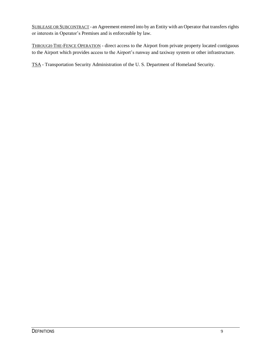SUBLEASE OR SUBCONTRACT - an Agreement entered into by an Entity with an Operator that transfers rights or interests in Operator's Premises and is enforceable by law.

THROUGH-THE-FENCE OPERATION - direct access to the Airport from private property located contiguous to the Airport which provides access to the Airport's runway and taxiway system or other infrastructure.

TSA - Transportation Security Administration of the U. S. Department of Homeland Security.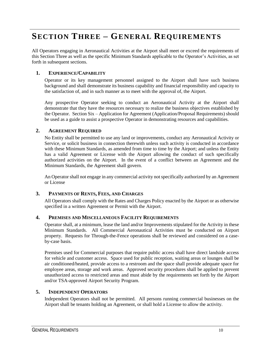# <span id="page-12-0"></span>**SECTION THREE – GENERAL REQUIREMENTS**

All Operators engaging in Aeronautical Activities at the Airport shall meet or exceed the requirements of this Section Three as well as the specific Minimum Standards applicable to the Operator's Activities, as set forth in subsequent sections.

#### <span id="page-12-1"></span>**1. EXPERIENCE/CAPABILITY**

Operator or its key management personnel assigned to the Airport shall have such business background and shall demonstrate its business capability and financial responsibility and capacity to the satisfaction of, and in such manner as to meet with the approval of, the Airport.

Any prospective Operator seeking to conduct an Aeronautical Activity at the Airport shall demonstrate that they have the resources necessary to realize the business objectives established by the Operator. Section Six – Application for Agreement (Application/Proposal Requirements) should be used as a guide to assist a prospective Operator in demonstrating resources and capabilities.

#### <span id="page-12-2"></span>**2. AGREEMENT REQUIRED**

No Entity shall be permitted to use any land or improvements, conduct any Aeronautical Activity or Service, or solicit business in connection therewith unless such activity is conducted in accordance with these Minimum Standards, as amended from time to time by the Airport; and unless the Entity has a valid Agreement or License with the Airport allowing the conduct of such specifically authorized activities on the Airport. In the event of a conflict between an Agreement and the Minimum Standards, the Agreement shall govern.

An Operator shall not engage in any commercial activity not specifically authorized by an Agreement or License

#### <span id="page-12-3"></span>**3. PAYMENTS OF RENTS, FEES, AND CHARGES**

All Operators shall comply with the Rates and Charges Policy enacted by the Airport or as otherwise specified in a written Agreement or Permit with the Airport.

#### <span id="page-12-4"></span>**4. PREMISES AND MISCELLANEOUS FACILITY REQUIREMENTS**

Operator shall, at a minimum, lease the land and/or Improvements stipulated for the Activity in these Minimum Standards. All Commercial Aeronautical Activities must be conducted on Airport property. Requests for Through-the-Fence operations shall be reviewed and considered on a caseby-case basis.

Premises used for Commercial purposes that require public access shall have direct landside access for vehicle and customer access. Space used for public reception, waiting areas or lounges shall be air conditioned/heated, provide access to a restroom and the space shall provide adequate space for employee areas, storage and work areas. Approved security procedures shall be applied to prevent unauthorized access to restricted areas and must abide by the requirements set forth by the Airport and/or TSA-approved Airport Security Program.

#### <span id="page-12-5"></span>**5. INDEPENDENT OPERATORS**

Independent Operators shall not be permitted. All persons running commercial businesses on the Airport shall be tenants holding an Agreement, or shall hold a License to allow the activity.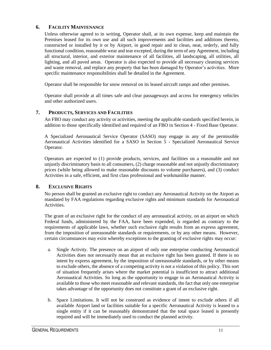#### <span id="page-13-0"></span>**6. FACILITY MAINTENANCE**

Unless otherwise agreed to in writing, Operator shall, at its own expense, keep and maintain the Premises leased for its own use and all such improvements and facilities and additions thereto, constructed or installed by it or by Airport, in good repair and in clean, neat, orderly, and fully functional condition, reasonable wear and tear excepted, during the term of any Agreement, including all structural, interior, and exterior maintenance of all facilities, all landscaping, all utilities, all lighting, and all paved areas. Operator is also expected to provide all necessary cleaning services and waste removal, and replace any property that has been damaged by Operator's activities. More specific maintenance responsibilities shall be detailed in the Agreement.

Operator shall be responsible for snow removal on its leased aircraft ramps and other premises.

Operator shall provide at all times safe and clear passageways and access for emergency vehicles and other authorized users.

#### <span id="page-13-1"></span>**7. PRODUCTS, SERVICES AND FACILITIES**

An FBO may conduct any activity or activities, meeting the applicable standards specified herein, in addition to those specifically identified and required of an FBO in Section 4 - Fixed Base Operator.

A Specialized Aeronautical Service Operator (SASO) may engage in any of the permissible Aeronautical Activities identified for a SASO in Section 5 - Specialized Aeronautical Service Operator.

Operators are expected to (1) provide products, services, and facilities on a reasonable and not unjustly discriminatory basis to all consumers, (2) charge reasonable and not unjustly discriminatory prices (while being allowed to make reasonable discounts to volume purchasers), and (3) conduct Activities in a safe, efficient, and first class professional and workmanlike manner.

#### <span id="page-13-2"></span>**8. EXCLUSIVE RIGHTS**

No person shall be granted an exclusive right to conduct any Aeronautical Activity on the Airport as mandated by FAA regulations regarding exclusive rights and minimum standards for Aeronautical Activities.

The grant of an exclusive right for the conduct of any aeronautical activity, on an airport on which Federal funds, administered by the FAA, have been expended, is regarded as contrary to the requirements of applicable laws, whether such exclusive right results from an express agreement, from the imposition of unreasonable standards or requirements, or by any other means. However, certain circumstances may exist whereby exceptions to the granting of exclusive rights may occur:

- a. Single Activity. The presence on an airport of only one enterprise conducting Aeronautical Activities does not necessarily mean that an exclusive right has been granted. If there is no intent by express agreement, by the imposition of unreasonable standards, or by other means to exclude others, the absence of a competing activity is not a violation of this policy. This sort of situation frequently arises where the market potential is insufficient to attract additional Aeronautical Activities. So long as the opportunity to engage in an Aeronautical Activity is available to those who meet reasonable and relevant standards, the fact that only one enterprise takes advantage of the opportunity does not constitute a grant of an exclusive right.
- b. Space Limitations. It will not be construed as evidence of intent to exclude others if all available Airport land or facilities suitable for a specific Aeronautical Activity is leased to a single entity if it can be reasonably demonstrated that the total space leased is presently required and will be immediately used to conduct the planned activity.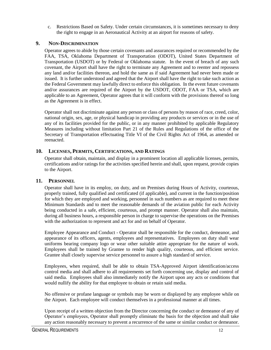c. Restrictions Based on Safety. Under certain circumstances, it is sometimes necessary to deny the right to engage in an Aeronautical Activity at an airport for reasons of safety.

#### <span id="page-14-0"></span>**9. NON-DISCRIMINATION**

Operator agrees to abide by those certain covenants and assurances required or recommended by the FAA, TSA, Oklahoma Department of Transportation (ODOT), United States Department of Transportation (USDOT) or by Federal or Oklahoma statute. In the event of breach of any such covenant, the Airport shall have the right to terminate any Agreement and to reenter and repossess any land and/or facilities thereon, and hold the same as if said Agreement had never been made or issued. It is further understood and agreed that the Airport shall have the right to take such action as the Federal Government may lawfully direct to enforce this obligation. In the event future covenants and/or assurances are required of the Airport by the USDOT, ODOT, FAA or TSA, which are applicable to an Agreement, Operator agrees that it will conform with the provisions thereof so long as the Agreement is in effect.

Operator shall not discriminate against any person or class of persons by reason of race, creed, color, national origin, sex, age, or physical handicap in providing any products or services or in the use of any of its facilities provided for the public, or in any manner prohibited by applicable Regulatory Measures including without limitation Part 21 of the Rules and Regulations of the office of the Secretary of Transportation effectuating Title VI of the Civil Rights Act of 1964, as amended or reenacted.

#### <span id="page-14-1"></span>**10. LICENSES, PERMITS, CERTIFICATIONS, AND RATINGS**

Operator shall obtain, maintain, and display in a prominent location all applicable licenses, permits, certifications and/or ratings for the activities specified herein and shall, upon request, provide copies to the Airport.

#### <span id="page-14-2"></span>**11. PERSONNEL**

Operator shall have in its employ, on duty, and on Premises during Hours of Activity, courteous, properly trained, fully qualified and certificated (if applicable), and current in the function/position for which they are employed and working, personnel in such numbers as are required to meet these Minimum Standards and to meet the reasonable demands of the aviation public for each Activity being conducted in a safe, efficient, courteous, and prompt manner. Operator shall also maintain, during all business hours, a responsible person in charge to supervise the operations on the Premises with the authorization to represent and act for and on behalf of Operator.

Employee Appearance and Conduct - Operator shall be responsible for the conduct, demeanor, and appearance of its officers, agents, employees and representatives. Employees on duty shall wear uniforms bearing company logo or wear other suitable attire appropriate for the nature of work. Employees shall be trained by Grantee to render high quality, courteous, and efficient service. Grantee shall closely supervise service personnel to assure a high standard of service.

Employees, when required, shall be able to obtain TSA-Approved Airport identification/access control media and shall adhere to all requirements set forth concerning use, display and control of said media. Employees shall also immediately notify the Airport upon any acts or conditions that would nullify the ability for that employee to obtain or retain said media.

No offensive or profane language or symbols may be worn or displayed by any employee while on the Airport. Each employee will conduct themselves in a professional manner at all times.

Upon receipt of a written objection from the Director concerning the conduct or demeanor of any of Operator's employees, Operator shall promptly eliminate the basis for the objection and shall take any action reasonably necessary to prevent a recurrence of the same or similar conduct or demeanor.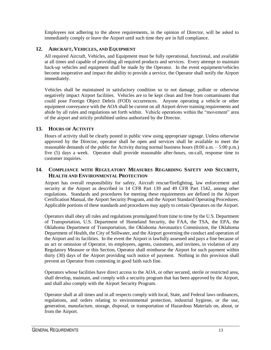Employees not adhering to the above requirements, in the opinion of Director, will be asked to immediately comply or leave the Airport until such time they are in full compliance.

#### <span id="page-15-0"></span>**12. AIRCRAFT, VEHICLES, AND EQUIPMENT**

All required Aircraft, Vehicles, and Equipment must be fully operational, functional, and available at all times and capable of providing all required products and services. Every attempt to maintain back-up vehicles and equipment shall be made by the Operator. In the event equipment/vehicles become inoperative and impact the ability to provide a service, the Operator shall notify the Airport immediately.

Vehicles shall be maintained in satisfactory condition so to not damage, pollute or otherwise negatively impact Airport facilities. Vehicles are to be kept clean and free from contaminants that could pose Foreign Object Debris (FOD) occurrences. Anyone operating a vehicle or other equipment conveyance with the AOA shall be current on all Airport driver training requirements and abide by all rules and regulations set forth within. Vehicle operations within the "movement" area of the airport and strictly prohibited unless authorized by the Director.

#### <span id="page-15-1"></span>**13. HOURS OF ACTIVITY**

Hours of activity shall be clearly posted in public view using appropriate signage. Unless otherwise approved by the Director, operator shall be open and services shall be available to meet the reasonable demands of the public for Activity during normal business hours (8:00 a.m. – 5:00 p.m.) five (5) days a week. Operator shall provide reasonable after-hours, on-call, response time to customer inquiries.

#### <span id="page-15-2"></span>**14. COMPLIANCE WITH REGULATORY MEASURES REGARDING SAFETY AND SECURITY, HEALTH AND ENVIRONMENTAL PROTECTION**

Airport has overall responsibility for safety, Aircraft rescue/firefighting, law enforcement and security at the Airport as described in 14 CFR Part 139 and 49 CFR Part 1542, among other regulations. Standards and procedures for meeting these requirements are defined in the Airport Certification Manual, the Airport Security Program, and the Airport Standard Operating Procedures. Applicable portions of these standards and procedures may apply to certain Operators on the Airport.

Operators shall obey all rules and regulations promulgated from time to time by the U.S. Department of Transportation, U.S. Department of Homeland Security, the FAA, the TSA, the EPA, the Oklahoma Department of Transportation, the Oklahoma Aeronautics Commission, the Oklahoma Department of Health, the City of Stillwater, and the Airport governing the conduct and operation of the Airport and its facilities. In the event the Airport is lawfully assessed and pays a fine because of an act or omission of Operator, its employees, agents, customers, and invitees, in violation of any Regulatory Measure or this Section, Operator shall reimburse the Airport for such payment within thirty (30) days of the Airport providing such notice of payment. Nothing in this provision shall prevent an Operator from contesting in good faith such fine.

Operators whose facilities have direct access to the AOA, or other secured, sterile or restricted area, shall develop, maintain, and comply with a security program that has been approved by the Airport, and shall also comply with the Airport Security Program.

Operator shall at all times and in all respects comply with local, State, and Federal laws ordinances, regulations, and orders relating to environmental protection, industrial hygiene, or the use, generation, manufacture, storage, disposal, or transportation of Hazardous Materials on, about, or from the Airport.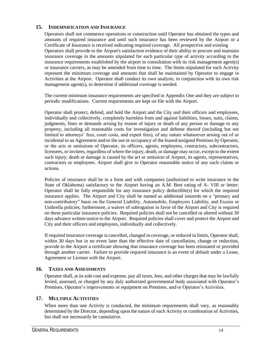#### <span id="page-16-0"></span>**15. INDEMNIFICATION AND INSURANCE**

Operators shall not commence operations or construction until Operator has obtained the types and amounts of required insurance and until such insurance has been reviewed by the Airport or a Certificate of Insurance is received indicating required coverage. All prospective and existing Operators shall provide to the Airport's satisfaction evidence of their ability to procure and maintain insurance coverage in the amounts stipulated for each particular type of activity according to the insurance requirements established by the airport in consultation with its risk management agent(s) or insurance carriers, as may be amended from time to time. The limits stipulated for each Activity represent the minimum coverage and amounts that shall be maintained by Operator to engage in Activities at the Airport. Operator shall conduct its own analysis, in conjunction with its own risk management agent(s), to determine if additional coverage is needed.

The current minimum insurance requirements are specified in Appendix One and they are subject to periodic modifications. Current requirements are kept on file with the Airport.

Operator shall protect, defend, and hold the Airport and the City and their officers and employees, individually and collectively, completely harmless from and against liabilities, losses, suits, claims, judgments, fines or demands arising by reason of injury or death of any person or damage to any property, including all reasonable costs for investigation and defense thereof (including but not limited to attorneys' fees, court costs, and expert fees), of any nature whatsoever arising out of or incidental to an Agreement and/or the use or occupancy of the leased/assigned Premises by Operator, or the acts or omissions of Operator, its officers, agents, employees, contractors, subcontractors, licensees, or invitees, regardless of where the injury, death, or damage may occur, except to the extent such injury, death or damage is caused by the act or omission of Airport, its agents, representatives, contractors or employees. Airport shall give to Operator reasonable notice of any such claims or actions.

Policies of insurance shall be in a form and with companies (authorized to write insurance in the State of Oklahoma) satisfactory to the Airport having an A.M. Best rating of A- VIII or better. Operator shall be fully responsible for any insurance policy deductible(s) for which the required insurance applies. The Airport and City shall be named as additional insureds on a "primary and non-contributory" basis on the General Liability, Automobile, Employers Liability, and Excess or Umbrella policies; furthermore, a waiver of subrogation in favor of the Airport and City is required on these particular insurance policies. Required policies shall not be cancelled or altered without 30 days advance written notice to the Airport. Required policies shall cover and protect the Airport and City and their officers and employees, individually and collectively.

If required insurance coverage is cancelled, changed in coverage, or reduced in limits, Operator shall, within 30 days but in no event later than the effective date of cancellation, change or reduction, provide to the Airport a certificate showing that insurance coverage has been reinstated or provided through another carrier. Failure to provide required insurance is an event of default under a Lease, Agreement or License with the Airport.

#### <span id="page-16-1"></span>**16. TAXES AND ASSESSMENTS**

Operator shall, at its sole cost and expense, pay all taxes, fees, and other charges that may be lawfully levied, assessed, or charged by any duly authorized governmental body associated with Operator's Premises, Operator's improvements or equipment on Premises, and/or Operator's Activities.

#### <span id="page-16-2"></span>**17. MULTIPLE ACTIVITIES**

When more than one Activity is conducted, the minimum requirements shall vary, as reasonably determined by the Director, depending upon the nature of each Activity or combination of Activities, but shall not necessarily be cumulative.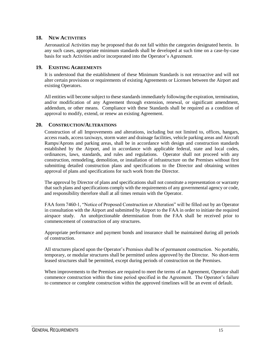#### <span id="page-17-0"></span>**18. NEW ACTIVITIES**

Aeronautical Activities may be proposed that do not fall within the categories designated herein. In any such cases, appropriate minimum standards shall be developed at such time on a case-by-case basis for such Activities and/or incorporated into the Operator's Agreement.

#### <span id="page-17-1"></span>**19. EXISTING AGREEMENTS**

It is understood that the establishment of these Minimum Standards is not retroactive and will not alter certain provisions or requirements of existing Agreements or Licenses between the Airport and existing Operators.

All entities will become subject to these standards immediately following the expiration, termination, and/or modification of any Agreement through extension, renewal, or significant amendment, addendum, or other means. Compliance with these Standards shall be required as a condition of approval to modify, extend, or renew an existing Agreement.

#### <span id="page-17-2"></span>**20. CONSTRUCTION/ALTERATIONS**

Construction of all Improvements and alterations, including but not limited to, offices, hangars, access roads, access taxiways, storm water and drainage facilities, vehicle parking areas and Aircraft Ramps/Aprons and parking areas, shall be in accordance with design and construction standards established by the Airport, and in accordance with applicable federal, state and local codes, ordinances, laws, standards, and rules and regulations. Operator shall not proceed with any construction, remodeling, demolition, or installation of infrastructure on the Premises without first submitting detailed construction plans and specifications to the Director and obtaining written approval of plans and specifications for such work from the Director.

The approval by Director of plans and specifications shall not constitute a representation or warranty that such plans and specifications comply with the requirements of any governmental agency or code, and responsibility therefore shall at all times remain with the Operator.

FAA form 7460-1, "Notice of Proposed Construction or Alteration" will be filled out by an Operator in consultation with the Airport and submitted by Airport to the FAA in order to initiate the required airspace study. An unobjectionable determination from the FAA shall be received prior to commencement of construction of any structures.

Appropriate performance and payment bonds and insurance shall be maintained during all periods of construction.

All structures placed upon the Operator's Premises shall be of permanent construction. No portable, temporary, or modular structures shall be permitted unless approved by the Director. No short-term leased structures shall be permitted, except during periods of construction on the Premises.

When improvements to the Premises are required to meet the terms of an Agreement, Operator shall commence construction within the time period specified in the Agreement. The Operator's failure to commence or complete construction within the approved timelines will be an event of default.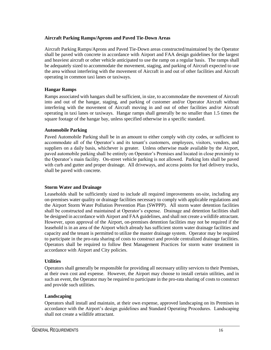#### **Aircraft Parking Ramps/Aprons and Paved Tie-Down Areas**

Aircraft Parking Ramps/Aprons and Paved Tie-Down areas constructed/maintained by the Operator shall be paved with concrete in accordance with Airport and FAA design guidelines for the largest and heaviest aircraft or other vehicle anticipated to use the ramp on a regular basis. The ramps shall be adequately sized to accommodate the movement, staging, and parking of Aircraft expected to use the area without interfering with the movement of Aircraft in and out of other facilities and Aircraft operating in common taxi lanes or taxiways.

#### **Hangar Ramps**

Ramps associated with hangars shall be sufficient, in size, to accommodate the movement of Aircraft into and out of the hangar, staging, and parking of customer and/or Operator Aircraft without interfering with the movement of Aircraft moving in and out of other facilities and/or Aircraft operating in taxi lanes or taxiways. Hangar ramps shall generally be no smaller than 1.5 times the square footage of the hangar bay, unless specified otherwise in a specific standard.

#### **Automobile Parking**

Paved Automobile Parking shall be in an amount to either comply with city codes, or sufficient to accommodate all of the Operator's and its tenant's customers, employees, visitors, vendors, and suppliers on a daily basis, whichever is greater. Unless otherwise made available by the Airport, paved automobile parking shall be entirely on Operator's Premises and located in close proximity to the Operator's main facility. On-street vehicle parking is not allowed. Parking lots shall be paved with curb and gutter and proper drainage. All driveways, and access points for fuel delivery trucks, shall be paved with concrete.

#### **Storm Water and Drainage**

Leaseholds shall be sufficiently sized to include all required improvements on-site, including any on-premises water quality or drainage facilities necessary to comply with applicable regulations and the Airport Storm Water Pollution Prevention Plan (SWPPP). All storm water detention facilities shall be constructed and maintained at Operator's expense. Drainage and detention facilities shall be designed in accordance with Airport and FAA guidelines, and shall not create a wildlife attractant. However, upon approval of the Airport, on-premises detention facilities may not be required if the leasehold is in an area of the Airport which already has sufficient storm water drainage facilities and capacity and the tenant is permitted to utilize the master drainage system. Operator may be required to participate in the pro-rata sharing of costs to construct and provide centralized drainage facilities. Operators shall be required to follow Best Management Practices for storm water treatment in accordance with Airport and City policies.

#### **Utilities**

Operators shall generally be responsible for providing all necessary utility services to their Premises, at their own cost and expense. However, the Airport may choose to install certain utilities, and in such an event, the Operator may be required to participate in the pro-rata sharing of costs to construct and provide such utilities.

#### **Landscaping**

Operators shall install and maintain, at their own expense, approved landscaping on its Premises in accordance with the Airport's design guidelines and Standard Operating Procedures. Landscaping shall not create a wildlife attractant.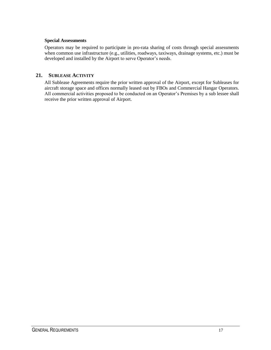#### **Special Assessments**

Operators may be required to participate in pro-rata sharing of costs through special assessments when common use infrastructure (e.g., utilities, roadways, taxiways, drainage systems, etc.) must be developed and installed by the Airport to serve Operator's needs.

#### <span id="page-19-0"></span>**21. SUBLEASE ACTIVITY**

All Sublease Agreements require the prior written approval of the Airport, except for Subleases for aircraft storage space and offices normally leased out by FBOs and Commercial Hangar Operators. All commercial activities proposed to be conducted on an Operator's Premises by a sub lessee shall receive the prior written approval of Airport.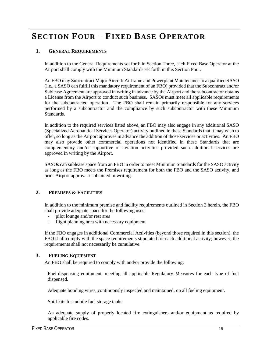# <span id="page-20-0"></span>**SECTION FOUR – FIXED BASE OPERATOR**

#### <span id="page-20-1"></span>**1. GENERAL REQUIREMENTS**

In addition to the General Requirements set forth in Section Three, each Fixed Base Operator at the Airport shall comply with the Minimum Standards set forth in this Section Four.

An FBO may Subcontract Major Aircraft Airframe and Powerplant Maintenance to a qualified SASO (i.e., a SASO can fulfill this mandatory requirement of an FBO) provided that the Subcontract and/or Sublease Agreement are approved in writing in advance by the Airport and the subcontractor obtains a License from the Airport to conduct such business. SASOs must meet all applicable requirements for the subcontracted operation. The FBO shall remain primarily responsible for any services performed by a subcontractor and the compliance by such subcontractor with these Minimum Standards.

In addition to the required services listed above, an FBO may also engage in any additional SASO (Specialized Aeronautical Services Operator) activity outlined in these Standards that it may wish to offer, so long as the Airport approves in advance the addition of those services or activities. An FBO may also provide other commercial operations not identified in these Standards that are complementary and/or supportive of aviation activities provided such additional services are approved in writing by the Airport.

SASOs can sublease space from an FBO in order to meet Minimum Standards for the SASO activity as long as the FBO meets the Premises requirement for both the FBO and the SASO activity, and prior Airport approval is obtained in writing.

#### <span id="page-20-2"></span>**2. PREMISES & FACILITIES**

In addition to the minimum premise and facility requirements outlined in Section 3 herein, the FBO shall provide adequate space for the following uses:

- pilot lounge and/or rest area
- flight planning area with necessary equipment

If the FBO engages in additional Commercial Activities (beyond those required in this section), the FBO shall comply with the space requirements stipulated for each additional activity; however, the requirements shall not necessarily be cumulative.

#### <span id="page-20-3"></span>**3. FUELING EQUIPMENT**

An FBO shall be required to comply with and/or provide the following:

Fuel-dispensing equipment, meeting all applicable Regulatory Measures for each type of fuel dispensed.

Adequate bonding wires, continuously inspected and maintained, on all fueling equipment.

Spill kits for mobile fuel storage tanks.

An adequate supply of properly located fire extinguishers and/or equipment as required by applicable fire codes.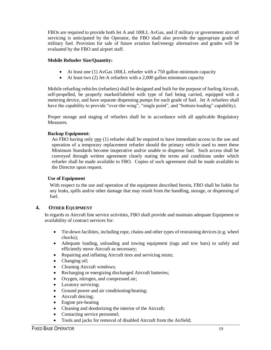FBOs are required to provide both Jet A and 100LL AvGas, and if military or government aircraft servicing is anticipated by the Operator, the FBO shall also provide the appropriate grade of military fuel. Provision for sale of future aviation fuel/energy alternatives and grades will be evaluated by the FBO and airport staff.

#### **Mobile Refueler Size/Quantity:**

- At least one (1) AvGas 100LL refueler with a 750 gallon minimum capacity
- $\bullet$  At least two (2) Jet-A refuelers with a 2,000 gallon minimum capacity

Mobile refueling vehicles (refuelers) shall be designed and built for the purpose of fueling Aircraft, self-propelled, be properly marked/labeled with type of fuel being carried, equipped with a metering device, and have separate dispensing pumps for each grade of fuel. Jet A refuelers shall have the capability to provide "over-the-wing", "single point", and "bottom-loading" capability).

Proper storage and staging of refuelers shall be in accordance with all applicable Regulatory Measures.

#### **Backup Equipment:**

An FBO having only one (1) refueler shall be required to have immediate access to the use and operation of a temporary replacement refueler should the primary vehicle used to meet these Minimum Standards become inoperative and/or unable to dispense fuel. Such access shall be conveyed through written agreement clearly stating the terms and conditions under which refueler shall be made available to FBO. Copies of such agreement shall be made available to the Director upon request.

#### **Use of Equipment**

With respect to the use and operation of the equipment described herein, FBO shall be liable for any leaks, spills and/or other damage that may result from the handling, storage, or dispensing of fuel.

#### <span id="page-21-0"></span>**4. OTHER EQUIPMENT**

In regards to Aircraft line service activities, FBO shall provide and maintain adequate Equipment or availability of contract services for:

- Tie-down facilities, including rope, chains and other types of restraining devices (e.g. wheel chocks);
- Adequate loading, unloading and towing equipment (tugs and tow bars) to safely and efficiently move Aircraft as necessary;
- Repairing and inflating Aircraft tires and servicing struts;
- Changing oil;
- Cleaning Aircraft windows;
- Recharging or energizing discharged Aircraft batteries;
- Oxygen, nitrogen, and compressed air;
- Lavatory servicing;
- Ground power and air conditioning/heating;
- Aircraft deicing;
- Engine pre-heating
- Cleaning and deodorizing the interior of the Aircraft;
- Contacting service personnel;
- Tools and jacks for removal of disabled Aircraft from the Airfield;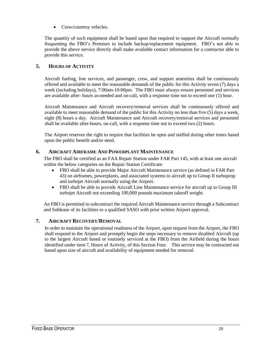• Crew/courtesy vehicles.

The quantity of such equipment shall be based upon that required to support the Aircraft normally frequenting the FBO's Premises to include backup/replacement equipment. FBO's not able to provide the above service directly shall make available contact information for a contractor able to provide this service.

#### <span id="page-22-0"></span>**5. HOURS OF ACTIVITY**

Aircraft fueling, line services, and passenger, crew, and support amenities shall be continuously offered and available to meet the reasonable demands of the public for this Activity seven (7) days a week (including holidays), 7:00am-10:00pm. The FBO must always ensure personnel and services are available after- hours as-needed and on-call, with a response time not to exceed one (1) hour.

Aircraft Maintenance and Aircraft recovery/removal services shall be continuously offered and available to meet reasonable demand of the public for this Activity no less than five (5) days a week, eight (8) hours a day. Aircraft Maintenance and Aircraft recovery/removal services and personnel shall be available after-hours, on-call, with a response time not to exceed two (2) hours.

The Airport reserves the right to require that facilities be open and staffed during other times based upon the public benefit and/or need.

#### <span id="page-22-1"></span>**6. AIRCRAFT AIRFRAME AND POWERPLANT MAINTENANCE**

The FBO shall be certified as an FAA Repair Station under FAR Part 145, with at least one aircraft within the below categories on the Repair Station Certificate:

- FBO shall be able to provide Major Aircraft Maintenance service (as defined in FAR Part 43) on airframes, powerplants, and associated systems to aircraft up to Group II turboprop and turbojet Aircraft normally using the Airport.
- FBO shall be able to provide Aircraft Line Maintenance service for aircraft up to Group III turbojet Aircraft not exceeding 100,000 pounds maximum takeoff weight.

An FBO is permitted to subcontract the required Aircraft Maintenance service through a Subcontract and Sublease of its facilities to a qualified SASO with prior written Airport approval.

#### <span id="page-22-2"></span>**7. AIRCRAFT RECOVERY/REMOVAL**

In order to maintain the operational readiness of the Airport, upon request from the Airport, the FBO shall respond to the Airport and promptly begin the steps necessary to remove disabled Aircraft (up to the largest Aircraft based or routinely serviced at the FBO) from the Airfield during the hours identified under item 7, Hours of Activity, of this Section Four. This service may be contracted out based upon size of aircraft and availability of equipment needed for removal.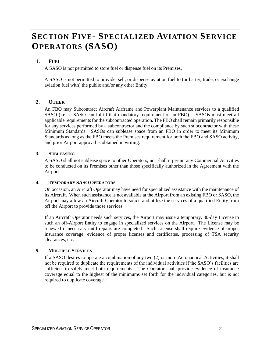# <span id="page-23-0"></span>**SECTION FIVE- SPECIALIZED AVIATION SERVICE OPERATORS (SASO)**

#### <span id="page-23-1"></span>**1. FUEL**

A SASO is not permitted to store fuel or dispense fuel on its Premises.

A SASO is not permitted to provide, sell, or dispense aviation fuel to (or barter, trade, or exchange aviation fuel with) the public and/or any other Entity.

#### <span id="page-23-2"></span>**2. OTHER**

An FBO may Subcontract Aircraft Airframe and Powerplant Maintenance services to a qualified SASO (i.e., a SASO can fulfill that mandatory requirement of an FBO). SASOs must meet all applicable requirements for the subcontracted operation. The FBO shall remain primarily responsible for any services performed by a subcontractor and the compliance by such subcontractor with these Minimum Standards. SASOs can sublease space from an FBO in order to meet its Minimum Standards as long as the FBO meets the Premises requirement for both the FBO and SASO activity, and prior Airport approval is obtained in writing.

#### <span id="page-23-3"></span>**3. SUBLEASING**

A SASO shall not sublease space to other Operators, nor shall it permit any Commercial Activities to be conducted on its Premises other than those specifically authorized in the Agreement with the Airport.

#### <span id="page-23-4"></span>**4. TEMPORARY SASO OPERATORS**

On occasion, an Aircraft Operator may have need for specialized assistance with the maintenance of its Aircraft. When such assistance is not available at the Airport from an existing FBO or SASO, the Airport may allow an Aircraft Operator to solicit and utilize the services of a qualified Entity from off the Airport to provide those services.

If an Aircraft Operator needs such services, the Airport may issue a temporary, 30-day License to such an off-Airport Entity to engage in specialized services on the Airport. The License may be renewed if necessary until repairs are completed. Such License shall require evidence of proper insurance coverage, evidence of proper licenses and certificates, processing of TSA security clearances, etc.

#### <span id="page-23-5"></span>**5. MULTIPLE SERVICES**

If a SASO desires to operate a combination of any two (2) or more Aeronautical Activities, it shall not be required to duplicate the requirements of the individual activities if the SASO's facilities are sufficient to safely meet both requirements. The Operator shall provide evidence of insurance coverage equal to the highest of the minimums set forth for the individual categories, but is not required to duplicate coverage.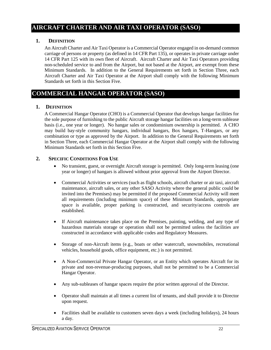#### <span id="page-24-0"></span>**AIRCRAFT CHARTER AND AIR TAXI OPERATOR (SASO)**

#### <span id="page-24-1"></span>**1. DEFINITION**

An Aircraft Charter and Air Taxi Operator is a Commercial Operator engaged in on-demand common carriage of persons or property (as defined in 14 CFR Part 135), or operates in private carriage under 14 CFR Part 125 with its own fleet of Aircraft. Aircraft Charter and Air Taxi Operators providing non-scheduled service to and from the Airport, but not based at the Airport, are exempt from these Minimum Standards. In addition to the General Requirements set forth in Section Three, each Aircraft Charter and Air Taxi Operator at the Airport shall comply with the following Minimum Standards set forth in this Section Five.

#### <span id="page-24-2"></span>**COMMERCIAL HANGAR OPERATOR (SASO)**

#### <span id="page-24-3"></span>**1. DEFINITION**

A Commercial Hangar Operator (CHO) is a Commercial Operator that develops hangar facilities for the sole purpose of furnishing to the public Aircraft storage hangar facilities on a long-term sublease basis (i.e., one year or longer). No hangar sales or condominium ownership is permitted. A CHO may build bay-style community hangars, individual hangars, Box hangars, T-Hangars, or any combination or type as approved by the Airport. In addition to the General Requirements set forth in Section Three, each Commercial Hangar Operator at the Airport shall comply with the following Minimum Standards set forth in this Section Five.

#### <span id="page-24-4"></span>**2. SPECIFIC CONDITIONS FOR USE**

- No transient, guest, or overnight Aircraft storage is permitted. Only long-term leasing (one year or longer) of hangars is allowed without prior approval from the Airport Director.
- Commercial Activities or services (such as flight schools, aircraft charter or air taxi, aircraft maintenance, aircraft sales, or any other SASO Activity where the general public could be invited into the Premises) may be permitted if the proposed Commercial Activity will meet all requirements (including minimum space) of these Minimum Standards, appropriate space is available, proper parking is constructed, and security/access controls are established.
- If Aircraft maintenance takes place on the Premises, painting, welding, and any type of hazardous materials storage or operation shall not be permitted unless the facilities are constructed in accordance with applicable codes and Regulatory Measures.
- Storage of non-Aircraft items (e.g., boats or other watercraft, snowmobiles, recreational vehicles, household goods, office equipment, etc.) is not permitted.
- A Non-Commercial Private Hangar Operator, or an Entity which operates Aircraft for its private and non-revenue-producing purposes, shall not be permitted to be a Commercial Hangar Operator.
- Any sub-subleases of hangar spaces require the prior written approval of the Director.
- Operator shall maintain at all times a current list of tenants, and shall provide it to Director upon request.
- Facilities shall be available to customers seven days a week (including holidays), 24 hours a day.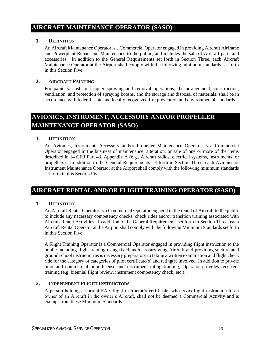#### <span id="page-25-0"></span>**AIRCRAFT MAINTENANCE OPERATOR (SASO)**

#### <span id="page-25-1"></span>**1. DEFINITION**

An Aircraft Maintenance Operator is a Commercial Operator engaged in providing Aircraft Airframe and Powerplant Repair and Maintenance to the public, and includes the sale of Aircraft parts and accessories. In addition to the General Requirements set forth in Section Three, each Aircraft Maintenance Operator at the Airport shall comply with the following minimum standards set forth in this Section Five.

#### <span id="page-25-2"></span>**2. AIRCRAFT PAINTING**

For paint, varnish or lacquer spraying and removal operations, the arrangement, construction, ventilation, and protection of spraying booths, and the storage and disposal of materials, shall be in accordance with federal, state and locally recognized fire prevention and environmental standards.

### <span id="page-25-3"></span>**AVIONICS, INSTRUMENT, ACCESSORY AND/OR PROPELLER MAINTENANCE OPERATOR (SASO)**

#### <span id="page-25-4"></span>**1. DEFINITION**

An Avionics, Instrument, Accessory and/or Propeller Maintenance Operator is a Commercial Operator engaged in the business of maintenance, alteration, or sale of one or more of the items described in 14 CFR Part 43, Appendix A (e.g., Aircraft radios, electrical systems, instruments, or propellers). In addition to the General Requirements set forth in Section Three, each Avionics or Instrument Maintenance Operator at the Airport shall comply with the following minimum standards set forth in this Section Five.

#### <span id="page-25-5"></span>**AIRCRAFT RENTAL AND/OR FLIGHT TRAINING OPERATOR (SASO)**

#### <span id="page-25-6"></span>**1. DEFINITION**

An Aircraft Rental Operator is a Commercial Operator engaged in the rental of Aircraft to the public to include any necessary competency checks, check rides and/or transition training associated with Aircraft Rental Activities. In addition to the General Requirements set forth in Section Three, each Aircraft Rental Operator at the Airport shall comply with the following Minimum Standards set forth in this Section Five.

A Flight Training Operator is a Commercial Operator engaged in providing flight instruction to the public including flight training using fixed and/or rotary wing Aircraft and providing such related ground school instruction as is necessary preparatory to taking a written examination and flight check ride for the category or categories of pilot certificate(s) and rating(s) involved. In addition to private pilot and commercial pilot license and instrument rating training, Operator provides recurrent training (e.g. biennial flight review, instrument competency check, etc.).

#### <span id="page-25-7"></span>**2. INDEPENDENT FLIGHT INSTRUCTORS**

A person holding a current FAA flight instructor's certificate, who gives flight instruction to an owner of an Aircraft in the owner's Aircraft, shall not be deemed a Commercial Activity and is exempt from these Minimum Standards.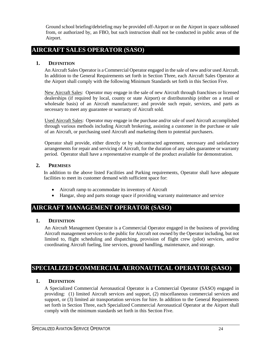Ground school briefing/debriefing may be provided off-Airport or on the Airport in space subleased from, or authorized by, an FBO, but such instruction shall not be conducted in public areas of the Airport.

#### <span id="page-26-0"></span>**AIRCRAFT SALES OPERATOR (SASO)**

#### <span id="page-26-1"></span>**1. DEFINITION**

An Aircraft Sales Operator is a Commercial Operator engaged in the sale of new and/or used Aircraft. In addition to the General Requirements set forth in Section Three, each Aircraft Sales Operator at the Airport shall comply with the following Minimum Standards set forth in this Section Five.

New Aircraft Sales: Operator may engage in the sale of new Aircraft through franchises or licensed dealerships (if required by local, county or state Airport) or distributorship (either on a retail or wholesale basis) of an Aircraft manufacturer; and provide such repair, services, and parts as necessary to meet any guarantee or warranty of Aircraft sold.

Used Aircraft Sales: Operator may engage in the purchase and/or sale of used Aircraft accomplished through various methods including Aircraft brokering, assisting a customer in the purchase or sale of an Aircraft, or purchasing used Aircraft and marketing them to potential purchasers.

Operator shall provide, either directly or by subcontracted agreement, necessary and satisfactory arrangements for repair and servicing of Aircraft, for the duration of any sales guarantee or warranty period. Operator shall have a representative example of the product available for demonstration.

#### <span id="page-26-2"></span>**2. PREMISES**

In addition to the above listed Facilities and Parking requirements, Operator shall have adequate facilities to meet its customer demand with sufficient space for:

- Aircraft ramp to accommodate its inventory of Aircraft
- Hangar, shop and parts storage space if providing warranty maintenance and service

#### <span id="page-26-3"></span>**AIRCRAFT MANAGEMENT OPERATOR (SASO)**

#### <span id="page-26-4"></span>**1. DEFINITION**

An Aircraft Management Operator is a Commercial Operator engaged in the business of providing Aircraft management services to the public for Aircraft not owned by the Operator including, but not limited to, flight scheduling and dispatching, provision of flight crew (pilot) services, and/or coordinating Aircraft fueling, line services, ground handling, maintenance, and storage.

#### <span id="page-26-5"></span>**SPECIALIZED COMMERCIAL AERONAUTICAL OPERATOR (SASO)**

#### <span id="page-26-6"></span>**1. DEFINITION**

A Specialized Commercial Aeronautical Operator is a Commercial Operator (SASO) engaged in providing: (1) limited Aircraft services and support, (2) miscellaneous commercial services and support, or (3) limited air transportation services for hire. In addition to the General Requirements set forth in Section Three, each Specialized Commercial Aeronautical Operator at the Airport shall comply with the minimum standards set forth in this Section Five.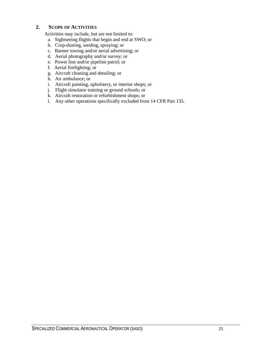#### <span id="page-27-0"></span>**2. SCOPE OF ACTIVITIES**

Activities may include, but are not limited to:

- a. Sightseeing flights that begin and end at SWO; or
- b. Crop-dusting, seeding, spraying; or
- c. Banner towing and/or aerial advertising; or
- d. Aerial photography and/or survey; or
- e. Power line and/or pipeline patrol; or
- f. Aerial firefighting; or
- g. Aircraft cleaning and detailing; or
- h. Air ambulance; or
- i. Aircraft painting, upholstery, or interior shops; or
- j. Flight simulator training or ground schools; or
- k. Aircraft restoration or refurbishment shops; or
- l. Any other operations specifically excluded from 14 CFR Part 135.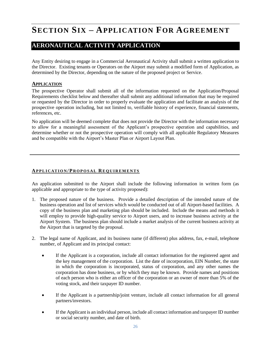# <span id="page-28-0"></span>**SECTION SIX – APPLICATION FOR AGREEMENT**

#### <span id="page-28-1"></span>**AERONAUTICAL ACTIVITY APPLICATION**

Any Entity desiring to engage in a Commercial Aeronautical Activity shall submit a written application to the Director. Existing tenants or Operators on the Airport may submit a modified form of Application, as determined by the Director, depending on the nature of the proposed project or Service.

#### <span id="page-28-2"></span>**APPLICATION**

The prospective Operator shall submit all of the information requested on the Application/Proposal Requirements checklist below and thereafter shall submit any additional information that may be required or requested by the Director in order to properly evaluate the application and facilitate an analysis of the prospective operation including, but not limited to, verifiable history of experience, financial statements, references, etc.

No application will be deemed complete that does not provide the Director with the information necessary to allow for a meaningful assessment of the Applicant's prospective operation and capabilities, and determine whether or not the prospective operation will comply with all applicable Regulatory Measures and be compatible with the Airport's Master Plan or Airport Layout Plan.

#### <span id="page-28-3"></span>**AP P L I C AT I O N / P R O P O S A L RE Q U I R E M E N T S**

An application submitted to the Airport shall include the following information in written form (as applicable and appropriate to the type of activity proposed):

- 1. The proposed nature of the business. Provide a detailed description of the intended nature of the business operation and list of services which would be conducted out of all Airport-based facilities. A copy of the business plan and marketing plan should be included. Include the means and methods it will employ to provide high-quality service to Airport users, and to increase business activity at the Airport System. The business plan should include a market analysis of the current business activity at the Airport that is targeted by the proposal.
- 2. The legal name of Applicant, and its business name (if different) plus address, fax, e-mail, telephone number, of Applicant and its principal contact:
	- If the Applicant is a corporation, include all contact information for the registered agent and the key management of the corporation. List the date of incorporation, EIN Number, the state in which the corporation is incorporated, status of corporation, and any other names the corporation has done business, or by which they may be known. Provide names and positions of each person who is either an officer of the corporation or an owner of more than 5% of the voting stock, and their taxpayer ID number.
	- If the Applicant is a partnership/joint venture, include all contact information for all general partners/investors.
	- If the Applicant is an individual person, include all contact information and taxpayer ID number or social security number, and date of birth.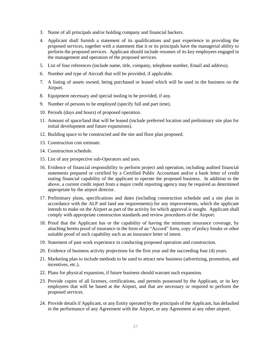- 3. Name of all principals and/or holding company and financial backers.
- 4. Applicant shall furnish a statement of its qualifications and past experience in providing the proposed services, together with a statement that it or its principals have the managerial ability to perform the proposed services. Applicant should include resumes of its key employees engaged in the management and operation of the proposed services.
- 5. List of four references (include name, title, company, telephone number, Email and address).
- 6. Number and type of Aircraft that will be provided, if applicable.
- 7. A listing of assets owned, being purchased or leased which will be used in the business on the Airport.
- 8. Equipment necessary and special tooling to be provided, if any.
- 9. Number of persons to be employed (specify full and part time).
- 10. Periods (days and hours) of proposed operation.
- 11. Amount of space/land that will be leased (include preferred location and preliminary site plan for initial development and future expansions).
- 12. Building space to be constructed and the site and floor plan proposed.
- 13. Construction cost estimate.
- 14. Construction schedule.
- 15. List of any prospective sub-Operators and uses.
- 16. Evidence of financial responsibility to perform project and operation, including audited financial statements prepared or certified by a Certified Public Accountant and/or a bank letter of credit stating financial capability of the applicant to operate the proposed business. In addition to the above, a current credit report from a major credit reporting agency may be required as determined appropriate by the airport director.
- 17. Preliminary plans, specifications and dates (including construction schedule and a site plan in accordance with the ALP and land use requirements) for any improvements, which the applicant intends to make on the Airport as part of the activity for which approval is sought. Applicant shall comply with appropriate construction standards and review procedures of the Airport.
- 18. Proof that the Applicant has or the capability of having the minimum insurance coverage, by attaching hereto proof of insurance in the form of an "Accord" form, copy of policy binder or other suitable proof of such capability such as an insurance letter of intent.
- 19. Statement of past work experience in conducting proposed operation and construction.
- 20. Evidence of business activity projections for the first year and the succeeding four (4) years.
- 21. Marketing plan to include methods to be used to attract new business (advertising, promotion, and incentives, etc.).
- 22. Plans for physical expansion, if future business should warrant such expansion.
- 23. Provide copies of all licenses, certifications, and permits possessed by the Applicant, or its key employees that will be based at the Airport, and that are necessary or required to perform the proposed services.
- 24. Provide details if Applicant, or any Entity operated by the principals of the Applicant, has defaulted in the performance of any Agreement with the Airport, or any Agreement at any other airport.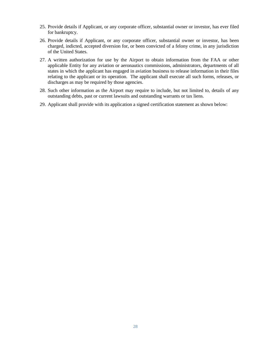- 25. Provide details if Applicant, or any corporate officer, substantial owner or investor, has ever filed for bankruptcy.
- 26. Provide details if Applicant, or any corporate officer, substantial owner or investor, has been charged, indicted, accepted diversion for, or been convicted of a felony crime, in any jurisdiction of the United States.
- 27. A written authorization for use by the Airport to obtain information from the FAA or other applicable Entity for any aviation or aeronautics commissions, administrators, departments of all states in which the applicant has engaged in aviation business to release information in their files relating to the applicant or its operation. The applicant shall execute all such forms, releases, or discharges as may be required by those agencies.
- 28. Such other information as the Airport may require to include, but not limited to, details of any outstanding debts, past or current lawsuits and outstanding warrants or tax liens.
- 29. Applicant shall provide with its application a signed certification statement as shown below: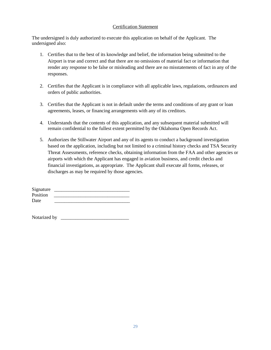#### Certification Statement

The undersigned is duly authorized to execute this application on behalf of the Applicant. The undersigned also:

- 1. Certifies that to the best of its knowledge and belief, the information being submitted to the Airport is true and correct and that there are no omissions of material fact or information that render any response to be false or misleading and there are no misstatements of fact in any of the responses.
- 2. Certifies that the Applicant is in compliance with all applicable laws, regulations, ordinances and orders of public authorities.
- 3. Certifies that the Applicant is not in default under the terms and conditions of any grant or loan agreements, leases, or financing arrangements with any of its creditors.
- 4. Understands that the contents of this application, and any subsequent material submitted will remain confidential to the fullest extent permitted by the Oklahoma Open Records Act.
- 5. Authorizes the Stillwater Airport and any of its agents to conduct a background investigation based on the application, including but not limited to a criminal history checks and TSA Security Threat Assessments, reference checks, obtaining information from the FAA and other agencies or airports with which the Applicant has engaged in aviation business, and credit checks and financial investigations, as appropriate. The Applicant shall execute all forms, releases, or discharges as may be required by those agencies.

| Signature |  |
|-----------|--|
| Position  |  |
| Date      |  |

Notarized by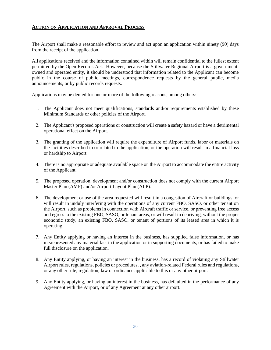#### <span id="page-32-0"></span>**ACTION ON APPLICATION AND APPROVAL PROCESS**

The Airport shall make a reasonable effort to review and act upon an application within ninety (90) days from the receipt of the application.

All applications received and the information contained within will remain confidential to the fullest extent permitted by the Open Records Act. However, because the Stillwater Regional Airport is a governmentowned and operated entity, it should be understood that information related to the Applicant can become public in the course of public meetings, correspondence requests by the general public, media announcements, or by public records requests.

Applications may be denied for one or more of the following reasons, among others:

- 1. The Applicant does not meet qualifications, standards and/or requirements established by these Minimum Standards or other policies of the Airport.
- 2. The Applicant's proposed operations or construction will create a safety hazard or have a detrimental operational effect on the Airport.
- 3. The granting of the application will require the expenditure of Airport funds, labor or materials on the facilities described in or related to the application, or the operation will result in a financial loss or hardship to Airport.
- 4. There is no appropriate or adequate available space on the Airport to accommodate the entire activity of the Applicant.
- 5. The proposed operation, development and/or construction does not comply with the current Airport Master Plan (AMP) and/or Airport Layout Plan (ALP).
- 6. The development or use of the area requested will result in a congestion of Aircraft or buildings, or will result in unduly interfering with the operations of any current FBO, SASO, or other tenant on the Airport, such as problems in connection with Aircraft traffic or service, or preventing free access and egress to the existing FBO, SASO, or tenant areas, or will result in depriving, without the proper economic study, an existing FBO, SASO, or tenant of portions of its leased area in which it is operating.
- 7. Any Entity applying or having an interest in the business, has supplied false information, or has misrepresented any material fact in the application or in supporting documents, or has failed to make full disclosure on the application.
- 8. Any Entity applying, or having an interest in the business, has a record of violating any Stillwater Airport rules, regulations, policies or procedures, , any aviation-related Federal rules and regulations, or any other rule, regulation, law or ordinance applicable to this or any other airport.
- 9. Any Entity applying, or having an interest in the business, has defaulted in the performance of any Agreement with the Airport, or of any Agreement at any other airport.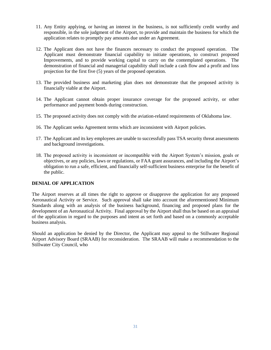- 11. Any Entity applying, or having an interest in the business, is not sufficiently credit worthy and responsible, in the sole judgment of the Airport, to provide and maintain the business for which the application relates to promptly pay amounts due under an Agreement.
- 12. The Applicant does not have the finances necessary to conduct the proposed operation. The Applicant must demonstrate financial capability to initiate operations, to construct proposed Improvements, and to provide working capital to carry on the contemplated operations. The demonstration of financial and managerial capability shall include a cash flow and a profit and loss projection for the first five (5) years of the proposed operation.
- 13. The provided business and marketing plan does not demonstrate that the proposed activity is financially viable at the Airport.
- 14. The Applicant cannot obtain proper insurance coverage for the proposed activity, or other performance and payment bonds during construction.
- 15. The proposed activity does not comply with the aviation-related requirements of Oklahoma law.
- 16. The Applicant seeks Agreement terms which are inconsistent with Airport policies.
- 17. The Applicant and its key employees are unable to successfully pass TSA security threat assessments and background investigations.
- 18. The proposed activity is inconsistent or incompatible with the Airport System's mission, goals or objectives, or any policies, laws or regulations, or FAA grant assurances, and including the Airport's obligation to run a safe, efficient, and financially self-sufficient business enterprise for the benefit of the public.

#### **DENIAL OF APPLICATION**

The Airport reserves at all times the right to approve or disapprove the application for any proposed Aeronautical Activity or Service. Such approval shall take into account the aforementioned Minimum Standards along with an analysis of the business background, financing and proposed plans for the development of an Aeronautical Activity. Final approval by the Airport shall thus be based on an appraisal of the application in regard to the purposes and intent as set forth and based on a commonly acceptable business analysis.

Should an application be denied by the Director, the Applicant may appeal to the Stillwater Regional Airport Advisory Board (SRAAB) for reconsideration. The SRAAB will make a recommendation to the Stillwater City Council, who